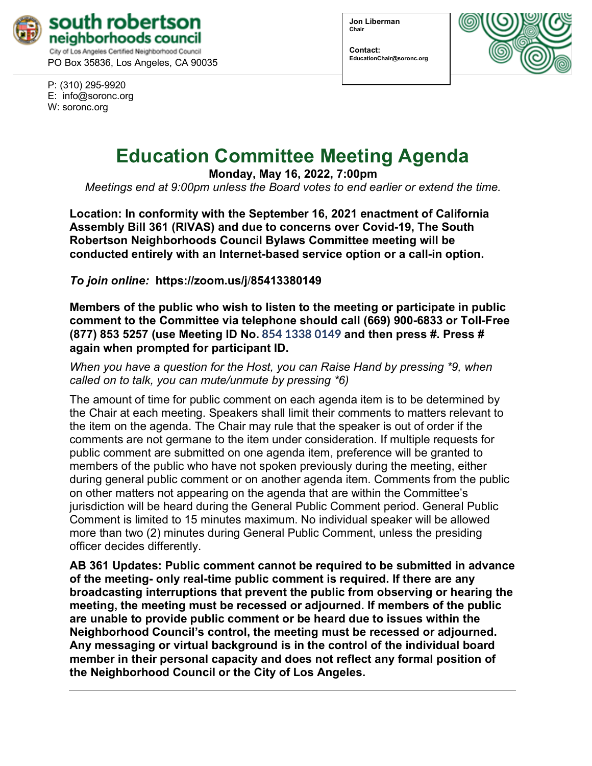

PO Box 35836, Los Angeles, CA 90035

P: (310) 295-9920 E: [info@soronc.org](about:blank) W: soronc.org

**Jon Liberman Chair**

**Contact: EducationChair@soronc.org**



# **Education Committee Meeting Agenda**

**Monday, May 16, 2022, 7:00pm**

*Meetings end at 9:00pm unless the Board votes to end earlier or extend the time.*

**Location: In conformity with the September 16, 2021 enactment of California Assembly Bill 361 (RIVAS) and due to concerns over Covid-19, The South Robertson Neighborhoods Council Bylaws Committee meeting will be conducted entirely with an Internet-based service option or a call-in option.** 

*To join online:* **[https://zoom.us/j](about:blank)**/**85413380149**

**Members of the public who wish to listen to the meeting or participate in public comment to the Committee via telephone should call (669) 900-6833 or Toll-Free (877) 853 5257 (use Meeting ID No. 854 1338 0149 and then press #. Press # again when prompted for participant ID.**

*When you have a question for the Host, you can Raise Hand by pressing \*9, when called on to talk, you can mute/unmute by pressing \*6)* 

The amount of time for public comment on each agenda item is to be determined by the Chair at each meeting. Speakers shall limit their comments to matters relevant to the item on the agenda. The Chair may rule that the speaker is out of order if the comments are not germane to the item under consideration. If multiple requests for public comment are submitted on one agenda item, preference will be granted to members of the public who have not spoken previously during the meeting, either during general public comment or on another agenda item. Comments from the public on other matters not appearing on the agenda that are within the Committee's jurisdiction will be heard during the General Public Comment period. General Public Comment is limited to 15 minutes maximum. No individual speaker will be allowed more than two (2) minutes during General Public Comment, unless the presiding officer decides differently.

**AB 361 Updates: Public comment cannot be required to be submitted in advance of the meeting- only real-time public comment is required. If there are any broadcasting interruptions that prevent the public from observing or hearing the meeting, the meeting must be recessed or adjourned. If members of the public are unable to provide public comment or be heard due to issues within the Neighborhood Council's control, the meeting must be recessed or adjourned. Any messaging or virtual background is in the control of the individual board member in their personal capacity and does not reflect any formal position of the Neighborhood Council or the City of Los Angeles.**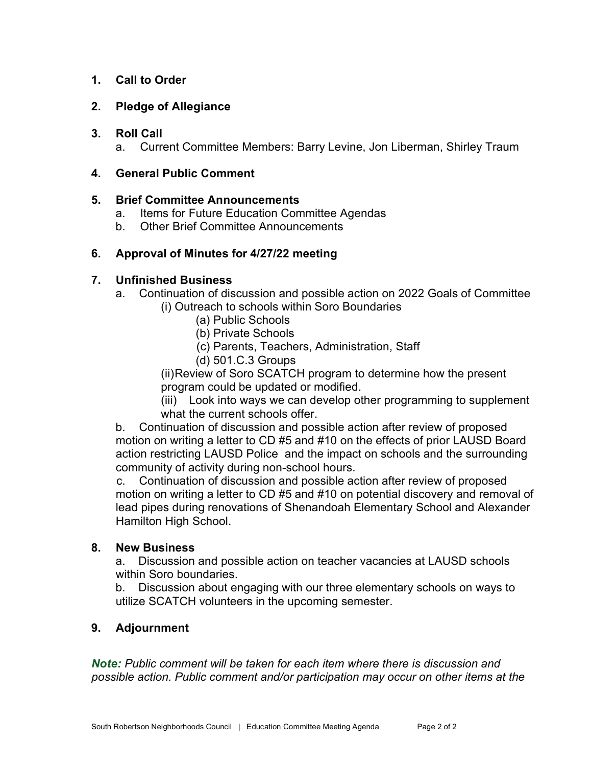# **1. Call to Order**

# **2. Pledge of Allegiance**

#### **3. Roll Call**

a. Current Committee Members: Barry Levine, Jon Liberman, Shirley Traum

# **4. General Public Comment**

#### **5. Brief Committee Announcements**

- a. Items for Future Education Committee Agendas
- b. Other Brief Committee Announcements

# **6. Approval of Minutes for 4/27/22 meeting**

# **7. Unfinished Business**

- a. Continuation of discussion and possible action on 2022 Goals of Committee (i) Outreach to schools within Soro Boundaries
	- (a) Public Schools
	- (b) Private Schools
	- (c) Parents, Teachers, Administration, Staff
	- (d) 501.C.3 Groups

(ii)Review of Soro SCATCH program to determine how the present program could be updated or modified.

(iii) Look into ways we can develop other programming to supplement what the current schools offer.

b. Continuation of discussion and possible action after review of proposed motion on writing a letter to CD #5 and #10 on the effects of prior LAUSD Board action restricting LAUSD Police and the impact on schools and the surrounding community of activity during non-school hours.

c. Continuation of discussion and possible action after review of proposed motion on writing a letter to CD #5 and #10 on potential discovery and removal of lead pipes during renovations of Shenandoah Elementary School and Alexander Hamilton High School.

# **8. New Business**

a. Discussion and possible action on teacher vacancies at LAUSD schools within Soro boundaries.

b. Discussion about engaging with our three elementary schools on ways to utilize SCATCH volunteers in the upcoming semester.

# **9. Adjournment**

*Note: Public comment will be taken for each item where there is discussion and possible action. Public comment and/or participation may occur on other items at the*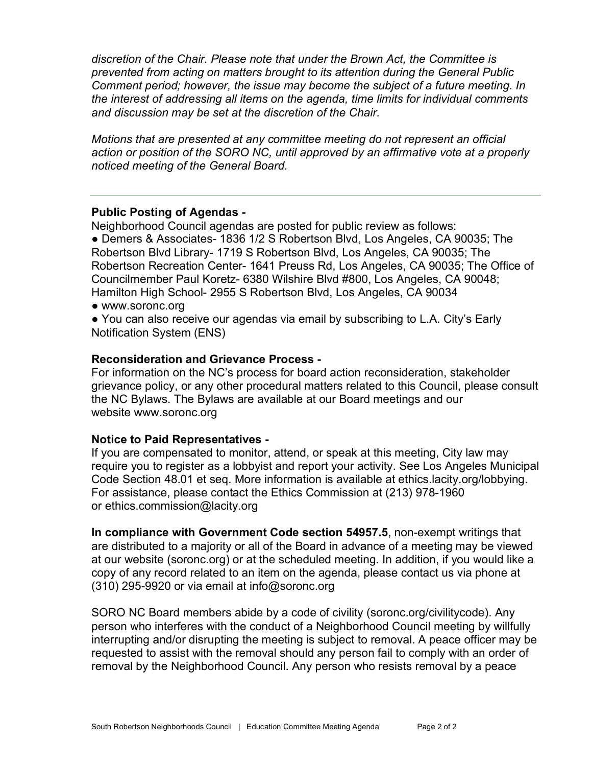*discretion of the Chair. Please note that under the Brown Act, the Committee is prevented from acting on matters brought to its attention during the General Public Comment period; however, the issue may become the subject of a future meeting. In the interest of addressing all items on the agenda, time limits for individual comments and discussion may be set at the discretion of the Chair.*

*Motions that are presented at any committee meeting do not represent an official action or position of the SORO NC, until approved by an affirmative vote at a properly noticed meeting of the General Board.*

#### **Public Posting of Agendas -**

Neighborhood Council agendas are posted for public review as follows:

● Demers & Associates- 1836 1/2 S Robertson Blvd, Los Angeles, CA 90035; The Robertson Blvd Library- 1719 S Robertson Blvd, Los Angeles, CA 90035; The Robertson Recreation Center- 1641 Preuss Rd, Los Angeles, CA 90035; The Office of Councilmember Paul Koretz- 6380 Wilshire Blvd #800, Los Angeles, CA 90048; Hamilton High School- 2955 S Robertson Blvd, Los Angeles, CA 90034

● [www.soronc.org](about:blank)

● You can also receive our agendas via email by subscribing to L.A. City's [Early](about:blank) [Notification System \(ENS\)](about:blank)

#### **Reconsideration and Grievance Process -**

For information on the NC's process for board action reconsideration, stakeholder grievance policy, or any other procedural matters related to this Council, please consult the NC Bylaws. The Bylaws are available at our Board meetings and our website [www.soronc.org](about:blank)

#### **Notice to Paid Representatives -**

If you are compensated to monitor, attend, or speak at this meeting, City law may require you to register as a lobbyist and report your activity. See Los Angeles Municipal Code Section 48.01 et seq. More information is available at [ethics.lacity.org/lobbying.](about:blank) For assistance, please contact the Ethics Commission at (213) 978-1960 or [ethics.commission@lacity.org](about:blank)

**In compliance with Government Code section 54957.5**, non-exempt writings that are distributed to a majority or all of the Board in advance of a meeting may be viewed at our website (soronc.org) or at the scheduled meeting. In addition, if you would like a copy of any record related to an item on the agenda, please contact us via phone at  $(310)$  295-9920 or via email at [info@soronc.org](about:blank)

SORO NC Board members abide by a code of civility (soronc.org/civilitycode). Any person who interferes with the conduct of a Neighborhood Council meeting by willfully interrupting and/or disrupting the meeting is subject to removal. A peace officer may be requested to assist with the removal should any person fail to comply with an order of removal by the Neighborhood Council. Any person who resists removal by a peace